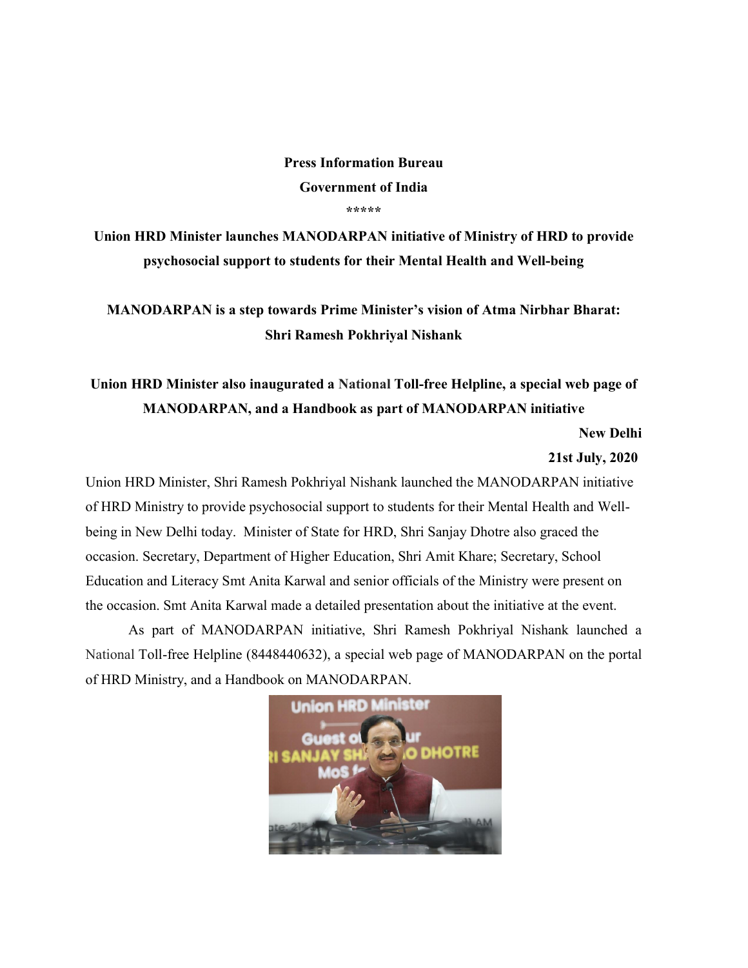#### Press Information Bureau Government of India \*\*\*\*\*

Union HRD Minister launches MANODARPAN initiative of Ministry of HRD to provide psychosocial support to students for their Mental Health and Well-being

MANODARPAN is a step towards Prime Minister's vision of Atma Nirbhar Bharat: Shri Ramesh Pokhriyal Nishank

Union HRD Minister also inaugurated a National Toll-free Helpline, a special web page of MANODARPAN, and a Handbook as part of MANODARPAN initiative

New Delhi

#### 21st July, 2020

Union HRD Minister, Shri Ramesh Pokhriyal Nishank launched the MANODARPAN initiative of HRD Ministry to provide psychosocial support to students for their Mental Health and Wellbeing in New Delhi today. Minister of State for HRD, Shri Sanjay Dhotre also graced the occasion. Secretary, Department of Higher Education, Shri Amit Khare; Secretary, School Education and Literacy Smt Anita Karwal and senior officials of the Ministry were present on the occasion. Smt Anita Karwal made a detailed presentation about the initiative at the event.

As part of MANODARPAN initiative, Shri Ramesh Pokhriyal Nishank launched a National Toll-free Helpline (8448440632), a special web page of MANODARPAN on the portal of HRD Ministry, and a Handbook on MANODARPAN.

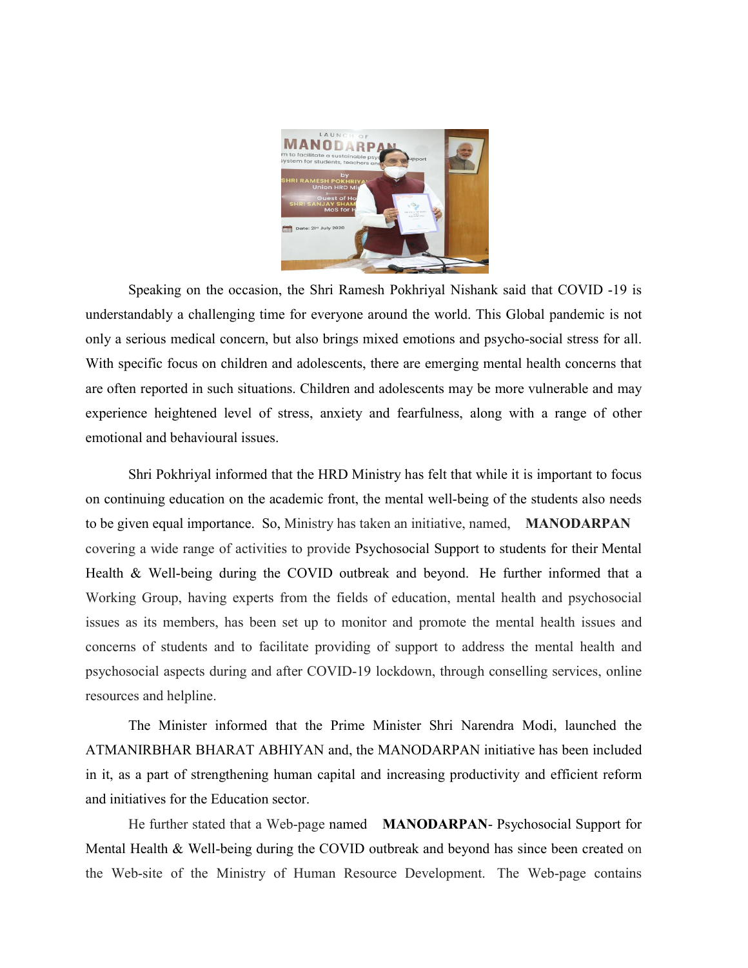

Speaking on the occasion, the Shri Ramesh Pokhriyal Nishank said that COVID -19 is understandably a challenging time for everyone around the world. This Global pandemic is not only a serious medical concern, but also brings mixed emotions and psycho-social stress for all. With specific focus on children and adolescents, there are emerging mental health concerns that are often reported in such situations. Children and adolescents may be more vulnerable and may experience heightened level of stress, anxiety and fearfulness, along with a range of other emotional and behavioural issues.

Shri Pokhriyal informed that the HRD Ministry has felt that while it is important to focus on continuing education on the academic front, the mental well-being of the students also needs to be given equal importance. So, Ministry has taken an initiative, named, MANODARPAN covering a wide range of activities to provide Psychosocial Support to students for their Mental Health & Well-being during the COVID outbreak and beyond. He further informed that a Working Group, having experts from the fields of education, mental health and psychosocial issues as its members, has been set up to monitor and promote the mental health issues and concerns of students and to facilitate providing of support to address the mental health and psychosocial aspects during and after COVID-19 lockdown, through conselling services, online resources and helpline.

The Minister informed that the Prime Minister Shri Narendra Modi, launched the ATMANIRBHAR BHARAT ABHIYAN and, the MANODARPAN initiative has been included in it, as a part of strengthening human capital and increasing productivity and efficient reform and initiatives for the Education sector.

He further stated that a Web-page named MANODARPAN- Psychosocial Support for Mental Health & Well-being during the COVID outbreak and beyond has since been created on the Web-site of the Ministry of Human Resource Development. The Web-page contains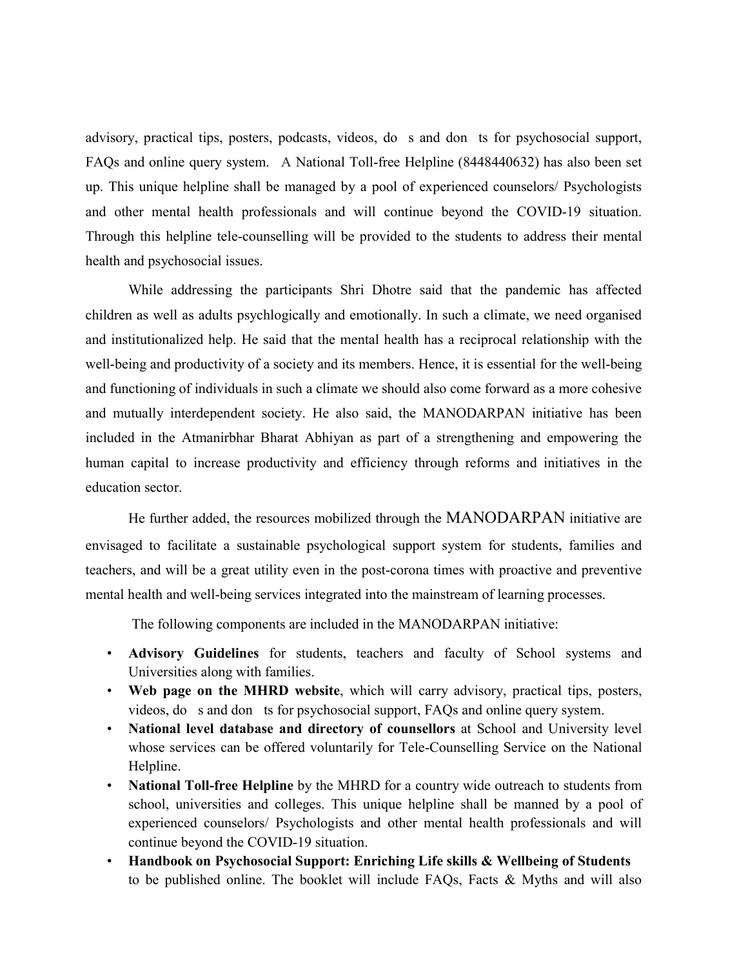advisory, practical tips, posters, podcasts, videos, do s and don ts for psychosocial support, FAQs and online query system. A National Toll-free Helpline (8448440632) has also been set up. This unique helpline shall be managed by a pool of experienced counselors/ Psychologists and other mental health professionals and will continue beyond the COVID-19 situation. Through this helpline tele-counselling will be provided to the students to address their mental health and psychosocial issues.

While addressing the participants Shri Dhotre said that the pandemic has affected children as well as adults psychlogically and emotionally. In such a climate, we need organised and institutionalized help. He said that the mental health has a reciprocal relationship with the well-being and productivity of a society and its members. Hence, it is essential for the well-being and functioning of individuals in such a climate we should also come forward as a more cohesive and mutually interdependent society. He also said, the MANODARPAN initiative has been included in the Atmanirbhar Bharat Abhiyan as part of a strengthening and empowering the human capital to increase productivity and efficiency through reforms and initiatives in the education sector.

He further added, the resources mobilized through the MANODARPAN initiative are envisaged to facilitate a sustainable psychological support system for students, families and teachers, and will be a great utility even in the post-corona times with proactive and preventive mental health and well-being services integrated into the mainstream of learning processes.

The following components are included in the MANODARPAN initiative:

- Advisory Guidelines for students, teachers and faculty of School systems and Universities along with families.
- Web page on the MHRD website, which will carry advisory, practical tips, posters, videos, do s and don ts for psychosocial support, FAQs and online query system.
- National level database and directory of counsellors at School and University level whose services can be offered voluntarily for Tele-Counselling Service on the National Helpline.
- National Toll-free Helpline by the MHRD for a country wide outreach to students from school, universities and colleges. This unique helpline shall be manned by a pool of experienced counselors/ Psychologists and other mental health professionals and will continue beyond the COVID-19 situation.
- Handbook on Psychosocial Support: Enriching Life skills & Wellbeing of Students to be published online. The booklet will include FAQs, Facts & Myths and will also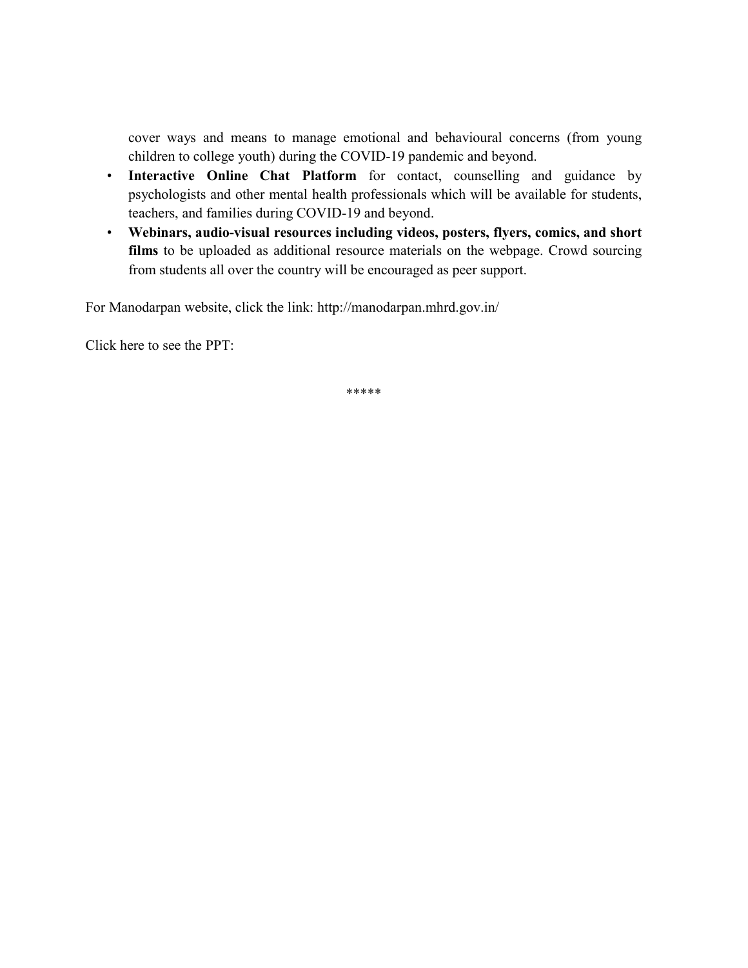cover ways and means to manage emotional and behavioural concerns (from young children to college youth) during the COVID-19 pandemic and beyond.

- Interactive Online Chat Platform for contact, counselling and guidance by psychologists and other mental health professionals which will be available for students, teachers, and families during COVID-19 and beyond.
- Webinars, audio-visual resources including videos, posters, flyers, comics, and short films to be uploaded as additional resource materials on the webpage. Crowd sourcing from students all over the country will be encouraged as peer support.

For Manodarpan website, click the link: http://manodarpan.mhrd.gov.in/

Click here to see the PPT:

\*\*\*\*\*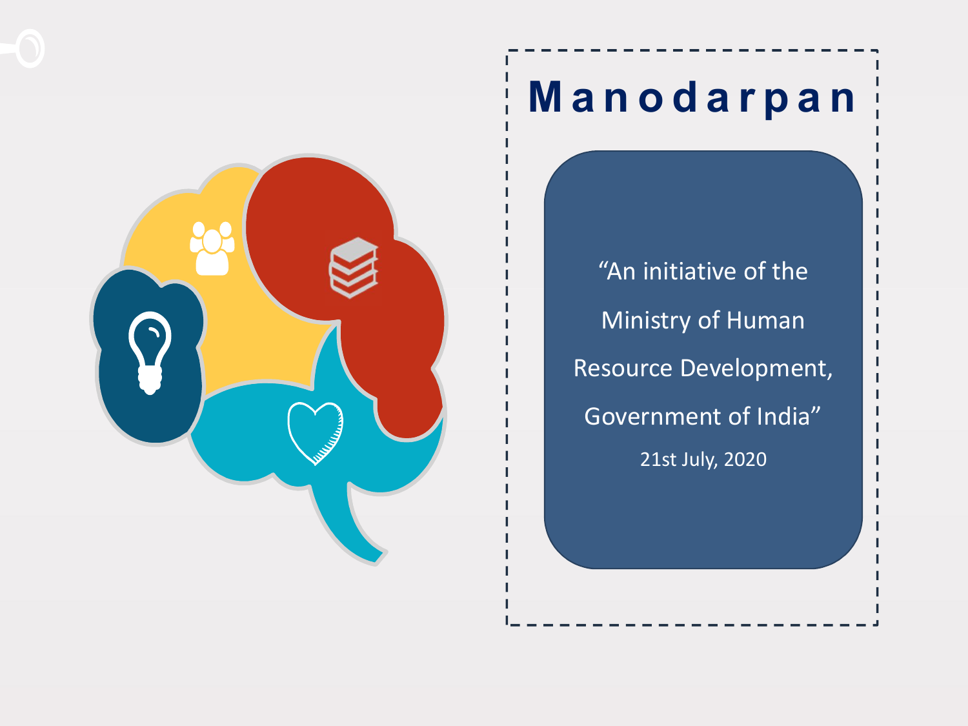



## M a n o d a r p a n

"An initiative of the Ministry of Human Resource Development, Government of India" 21st July, 2020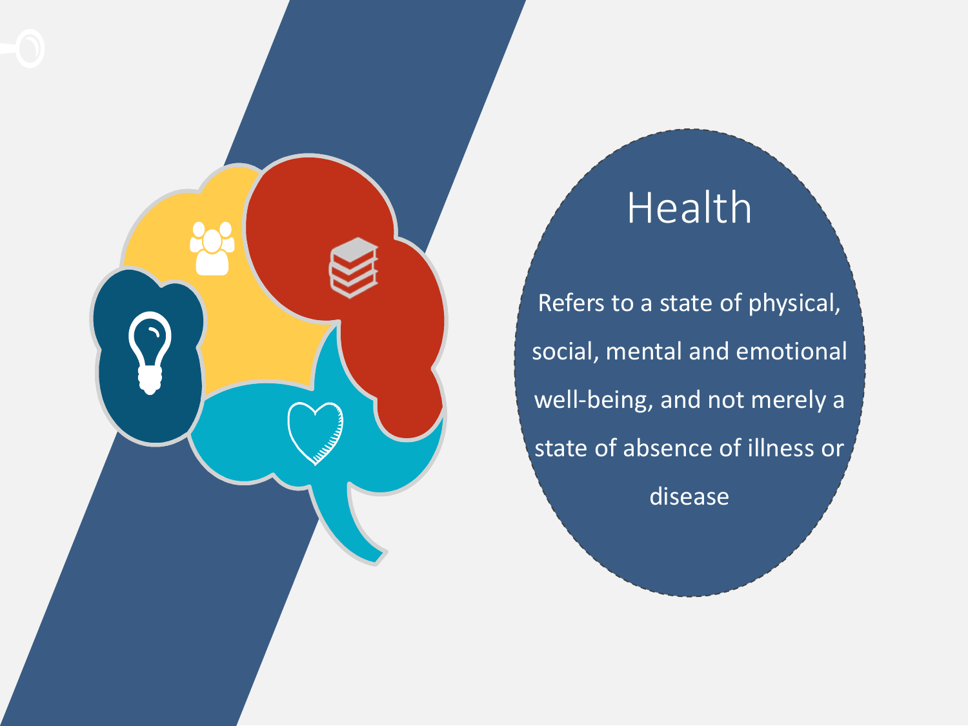

## Health

Refers to a state of physical, social, mental and emotional well-being, and not merely a state of absence of illness or disease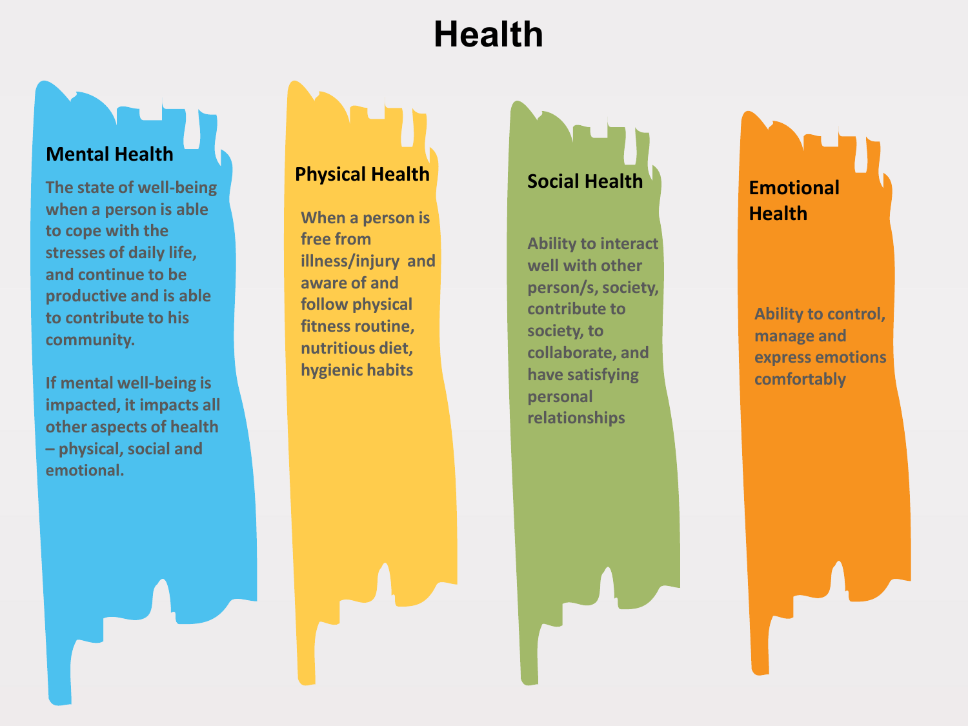## **Health**

#### Mental Health

The state of well-being when a person is able to cope with the stresses of daily life, and continue to be productive and is able to contribute to his community.

If mental well-being is impacted, it impacts all other aspects of health – physical, social and emotional.

#### Physical Health

When a person is free from illness/injury and aware of and follow physical fitness routine, nutritious diet, hygienic habits

### Social Health

Ability to interact well with other person/s, society, contribute to society, to collaborate, and have satisfying personal relationships

Emotional **Health** 

Ability to control, manage and express emotions comfortably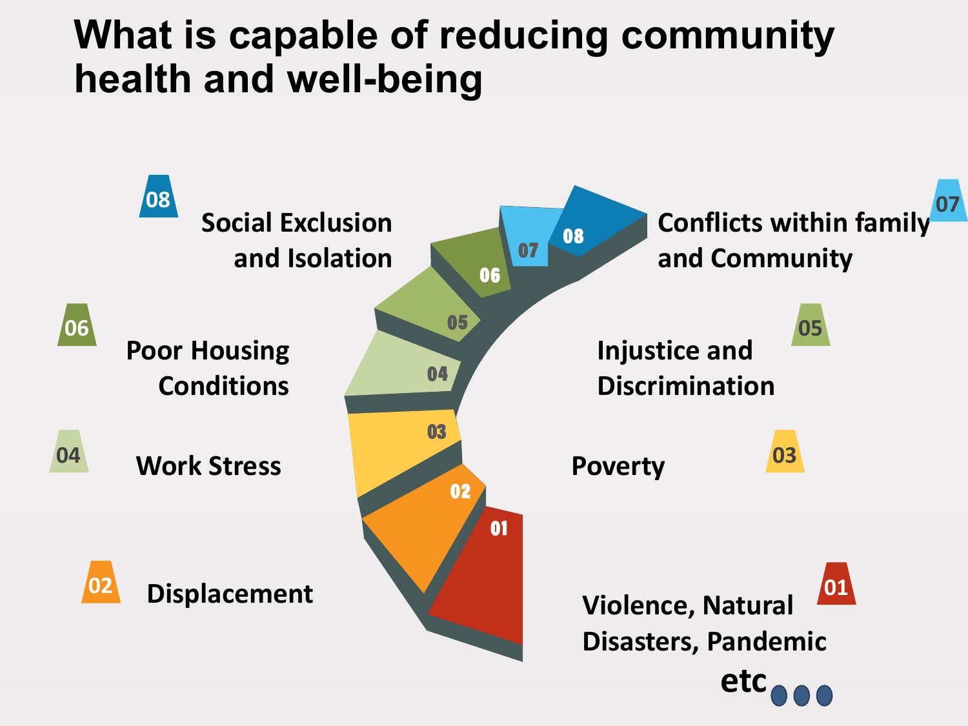## What is capable of reducing community health and well-being

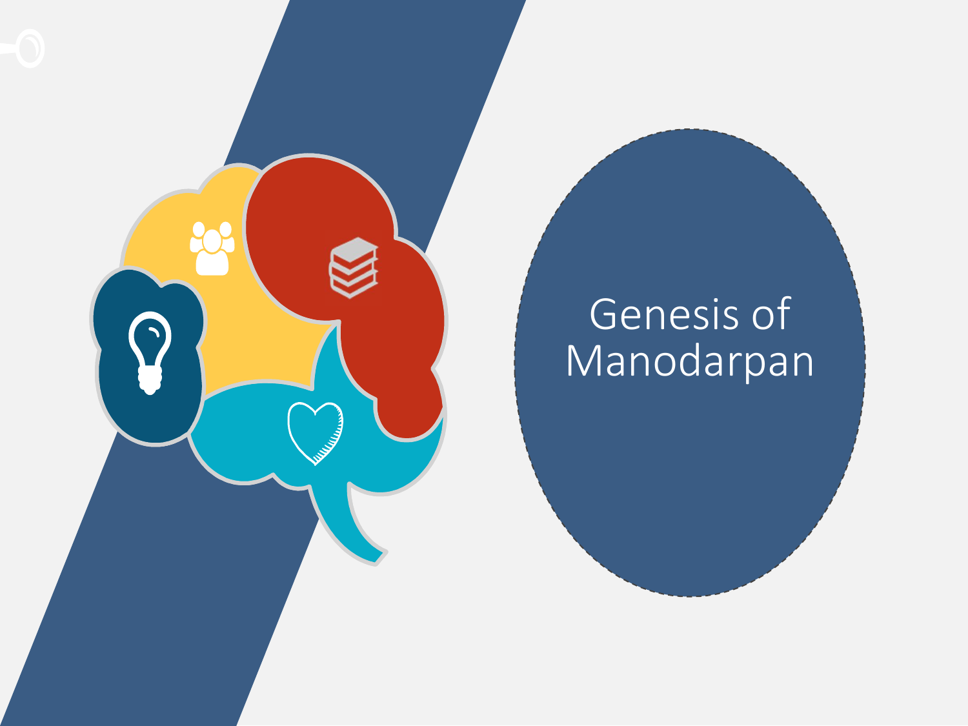

## Genesis of Manodarpan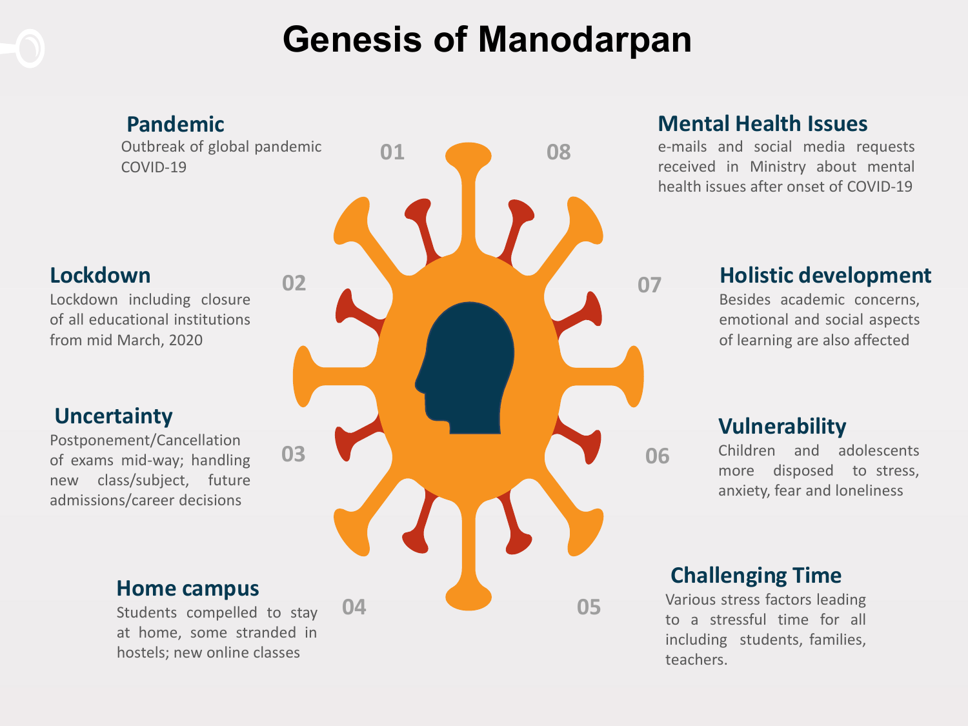## Genesis of Manodarpan

### Pandemic

Outbreak of global pandemic COVID-19

#### Lockdown

Lockdown including closure of all educational institutions from mid March, 2020

#### **Uncertainty**

Postponement/Cancellation of exams mid-way; handling new class/subject, future admissions/career decisions

#### Home campus

Students compelled to stay at home, some stranded in hostels; new online classes



#### Mental Health Issues

e-mails and social media requests received in Ministry about mental health issues after onset of COVID-19

#### Holistic development

Besides academic concerns, emotional and social aspects of learning are also affected

#### Vulnerability

Children and adolescents more disposed to stress, anxiety, fear and loneliness

#### Challenging Time

Various stress factors leading to a stressful time for all including students, families, teachers.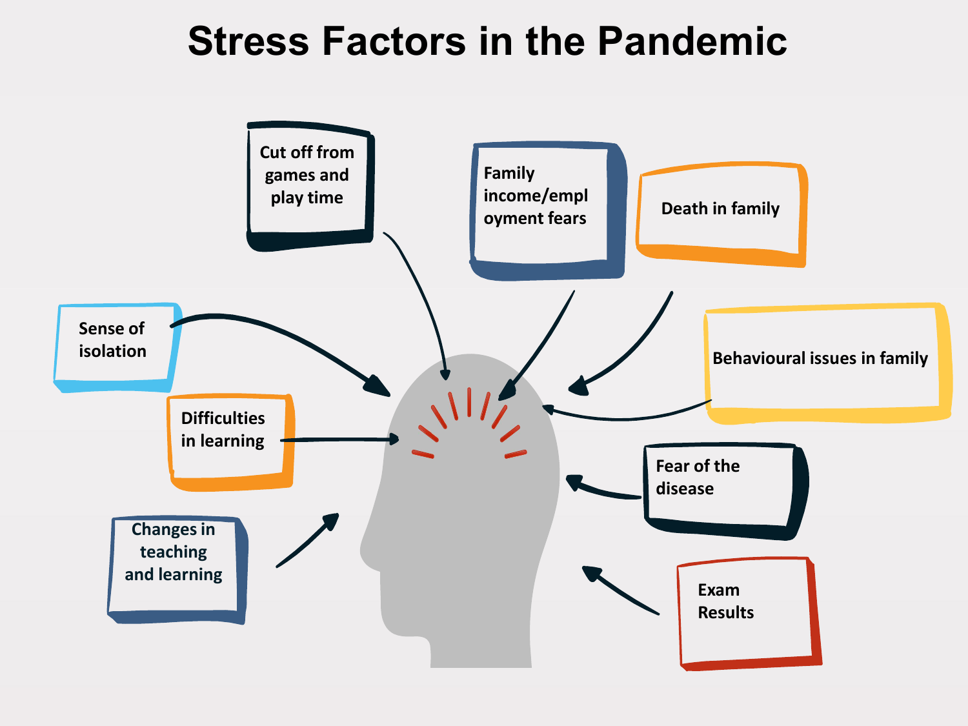## Stress Factors in the Pandemic

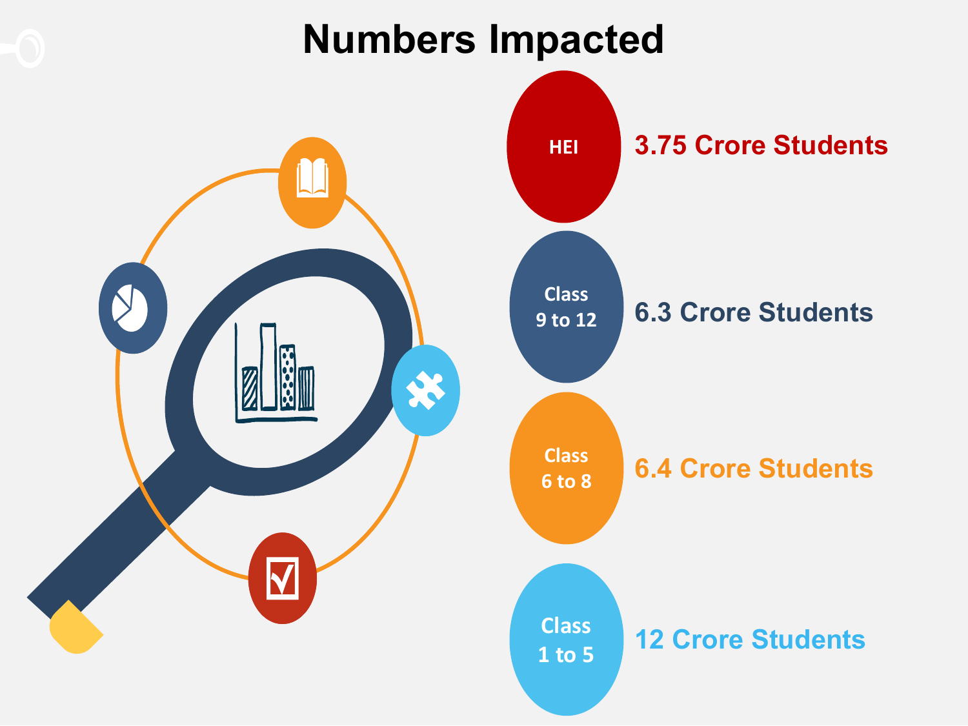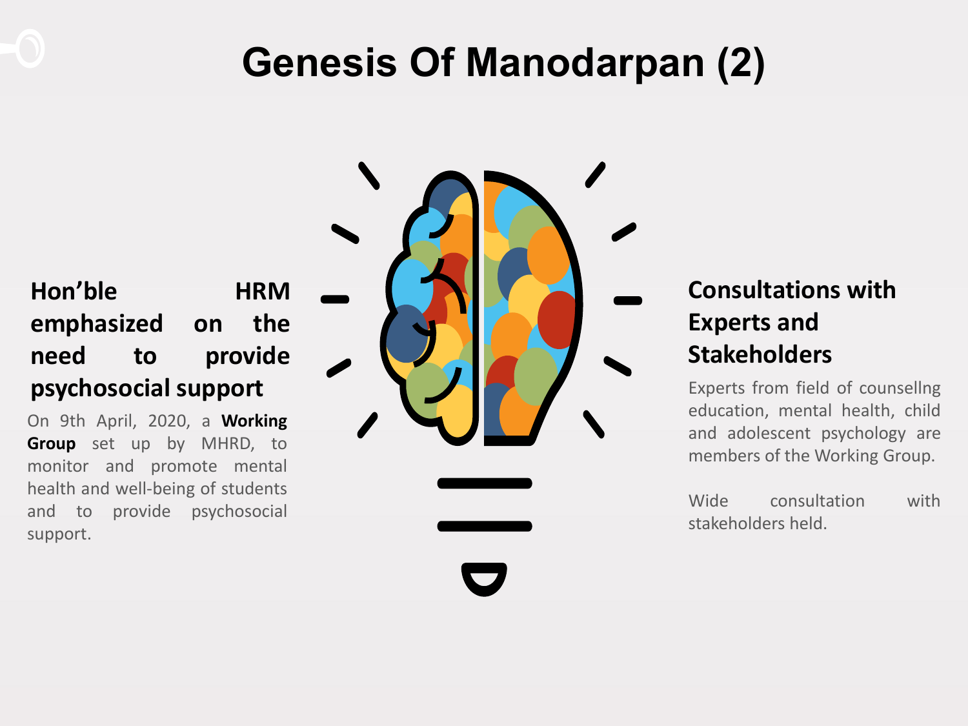## Genesis Of Manodarpan (2)

### Hon'ble HRM emphasized on the need to provide psychosocial support

On 9th April, 2020, a Working Group set up by MHRD, to monitor and promote mental health and well-being of students and to provide psychosocial support.



### Consultations with Experts and **Stakeholders**

Experts from field of counsellng education, mental health, child and adolescent psychology are members of the Working Group.

Wide consultation with stakeholders held.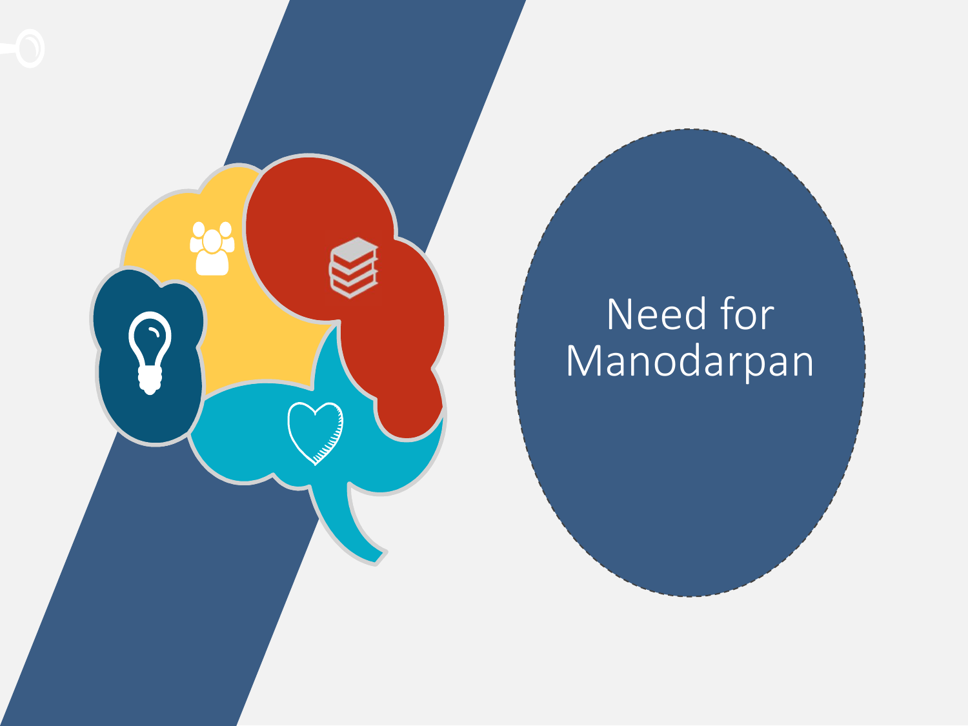

## Need for Manodarpan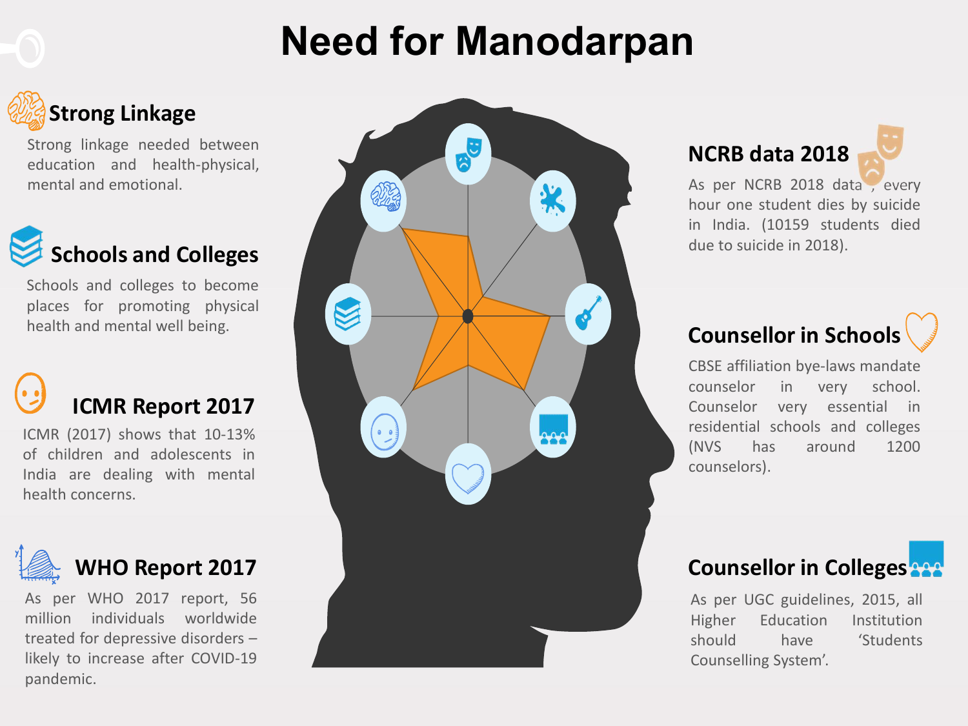## Need for Manodarpan

## Strong Linkage

Strong linkage needed between education and health-physical, mental and emotional.



Schools and colleges to become places for promoting physical health and mental well being.

# ICMR Report 2017

ICMR (2017) shows that 10-13% of children and adolescents in India are dealing with mental health concerns.



### WHO Report 2017

As per WHO 2017 report, 56 million individuals worldwide treated for depressive disorders – likely to increase after COVID-19 pandemic.



NCRB data 2018

As per NCRB 2018 data , every hour one student dies by suicide in India. (10159 students died due to suicide in 2018).

### Counsellor in Schools

CBSE affiliation bye-laws mandate counselor in very school. Counselor very essential in residential schools and colleges (NVS has around 1200 counselors).

### **Counsellor in Colleges**

As per UGC guidelines, 2015, all Higher Education Institution should have 'Students Counselling System'.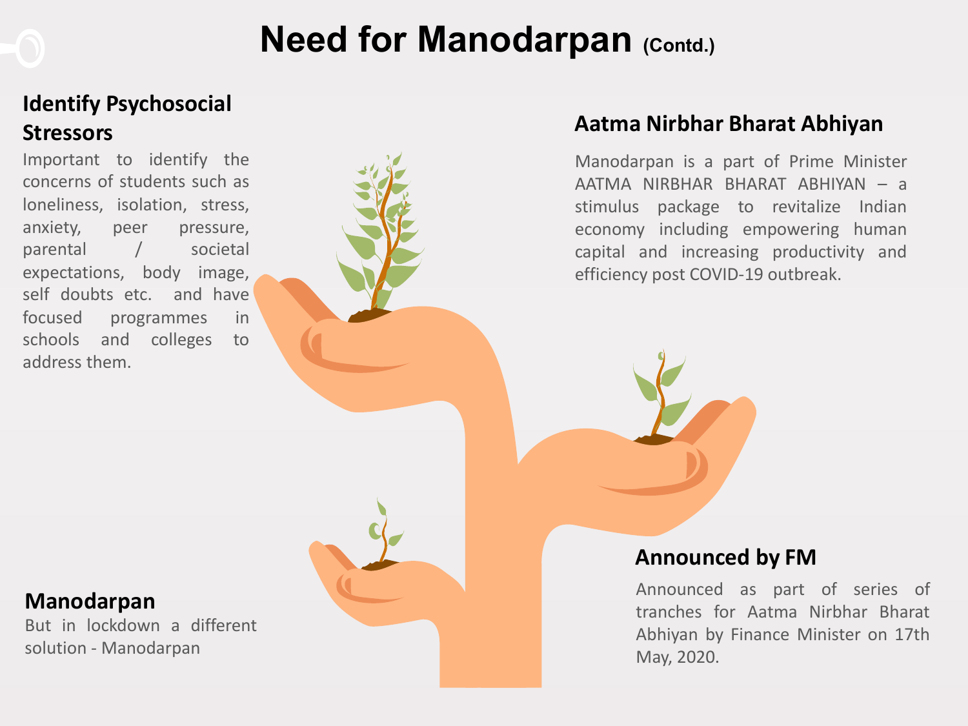## Need for Manodarpan (Contd.)

### Identify Psychosocial **Stressors**

Important to identify the concerns of students such as loneliness, isolation, stress, anxiety, peer pressure, parental / societal expectations, body image, self doubts etc. and have focused programmes in schools and colleges to address them.



#### Aatma Nirbhar Bharat Abhiyan

Manodarpan is a part of Prime Minister AATMA NIRBHAR BHARAT ABHIYAN – a stimulus package to revitalize Indian economy including empowering human capital and increasing productivity and efficiency post COVID-19 outbreak.

#### Manodarpan

But in lockdown a different solution - Manodarpan

#### Announced by FM

Announced as part of series of tranches for Aatma Nirbhar Bharat Abhiyan by Finance Minister on 17th May, 2020.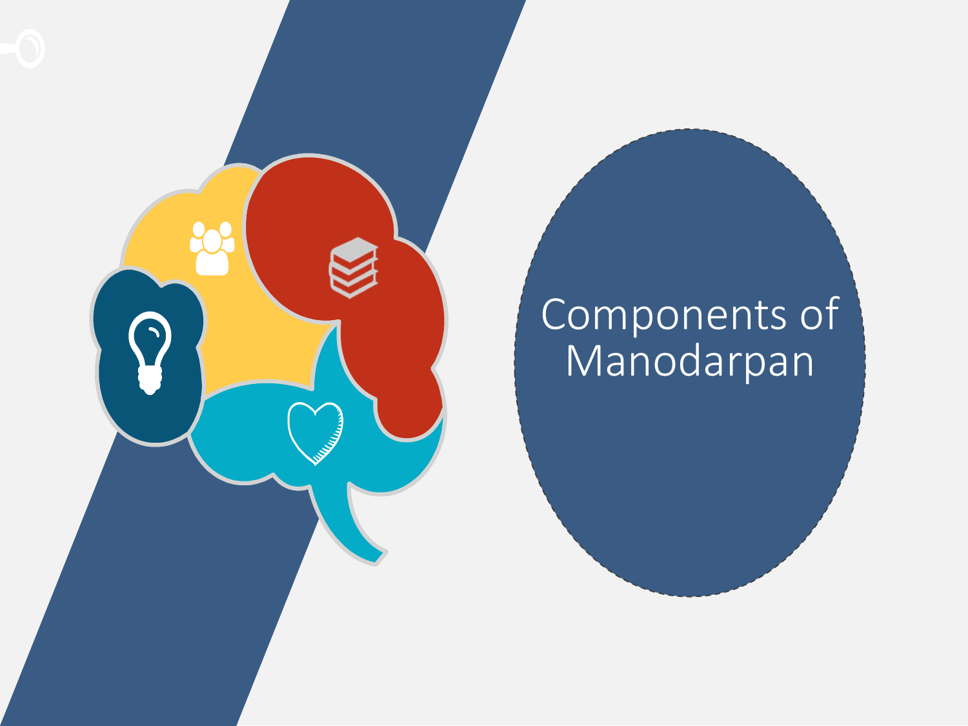

## Components of Manodarpan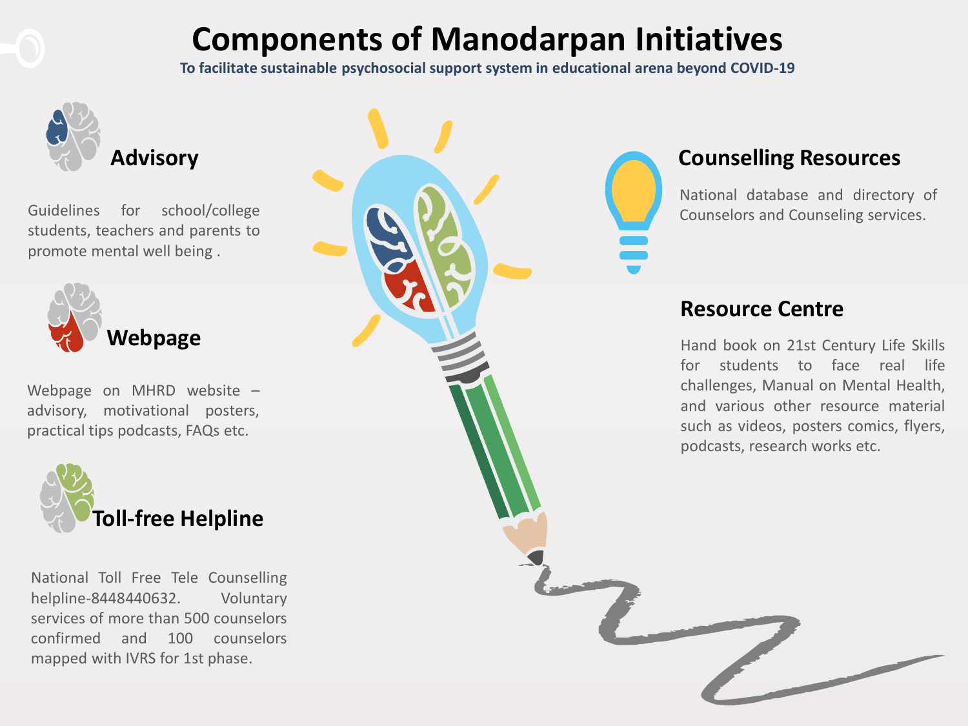## Components of Manodarpan Initiatives

To facilitate sustainable psychosocial support system in educational arena beyond COVID-19



#### Counselling Resources

National database and directory of Counselors and Counseling services.

#### Resource Centre

Hand book on 21st Century Life Skills for students to face real life challenges, Manual on Mental Health, and various other resource material such as videos, posters comics, flyers, podcasts, research works etc.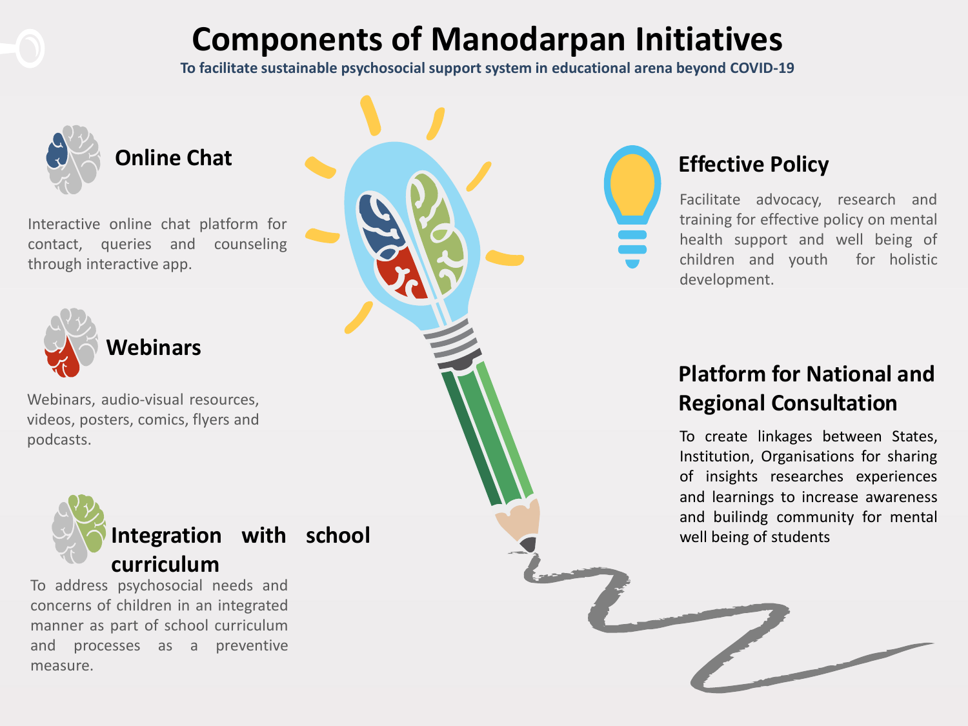## Components of Manodarpan Initiatives

To facilitate sustainable psychosocial support system in educational arena beyond COVID-19



measure.

### Effective Policy

Facilitate advocacy, research and training for effective policy on mental health support and well being of children and youth for holistic development.

### Platform for National and Regional Consultation

To create linkages between States, Institution, Organisations for sharing of insights researches experiences and learnings to increase awareness and builindg community for mental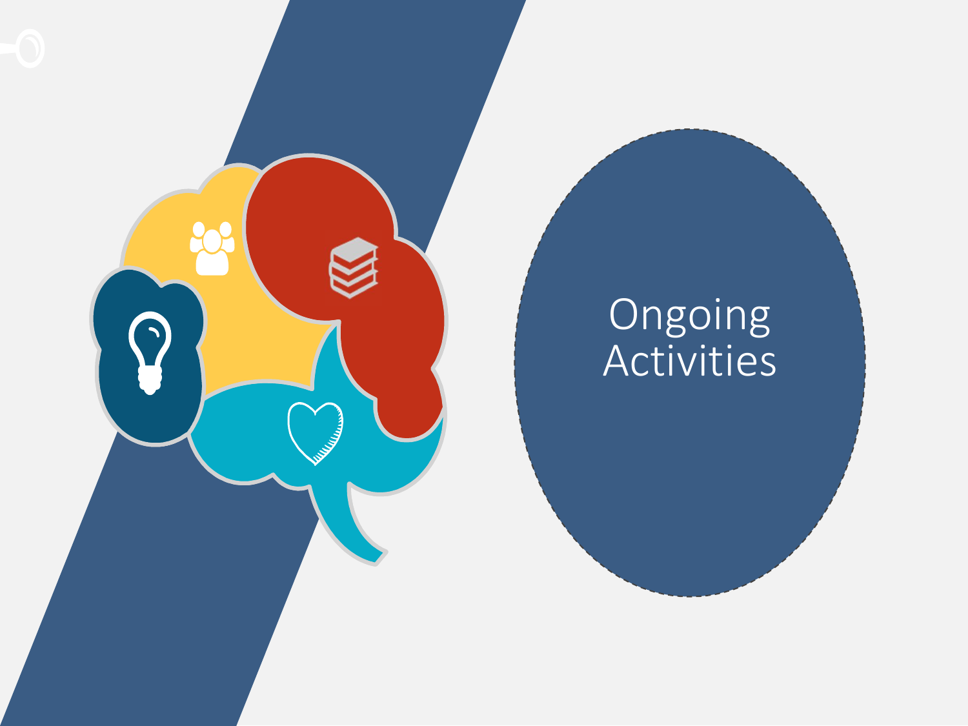

## Ongoing Activities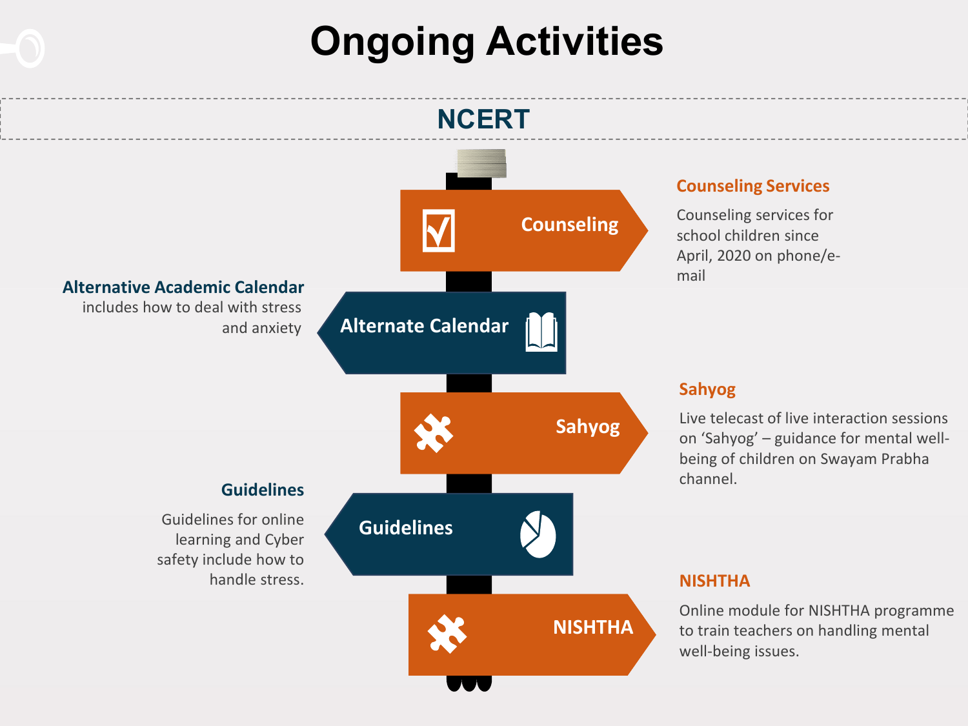## Ongoing Activities

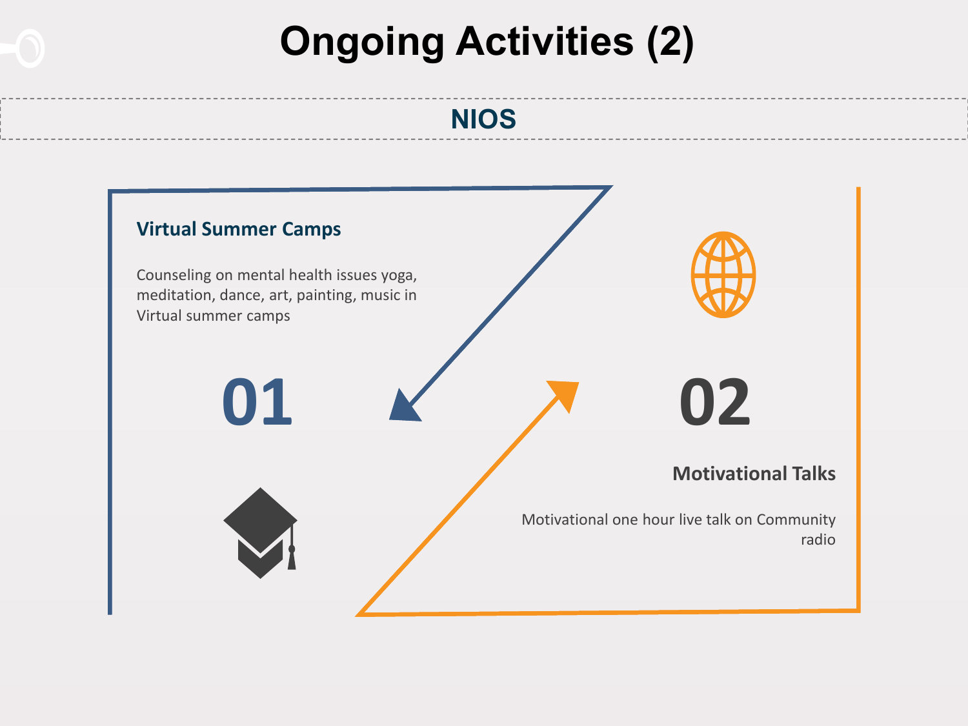## Ongoing Activities (2)

### NIOS

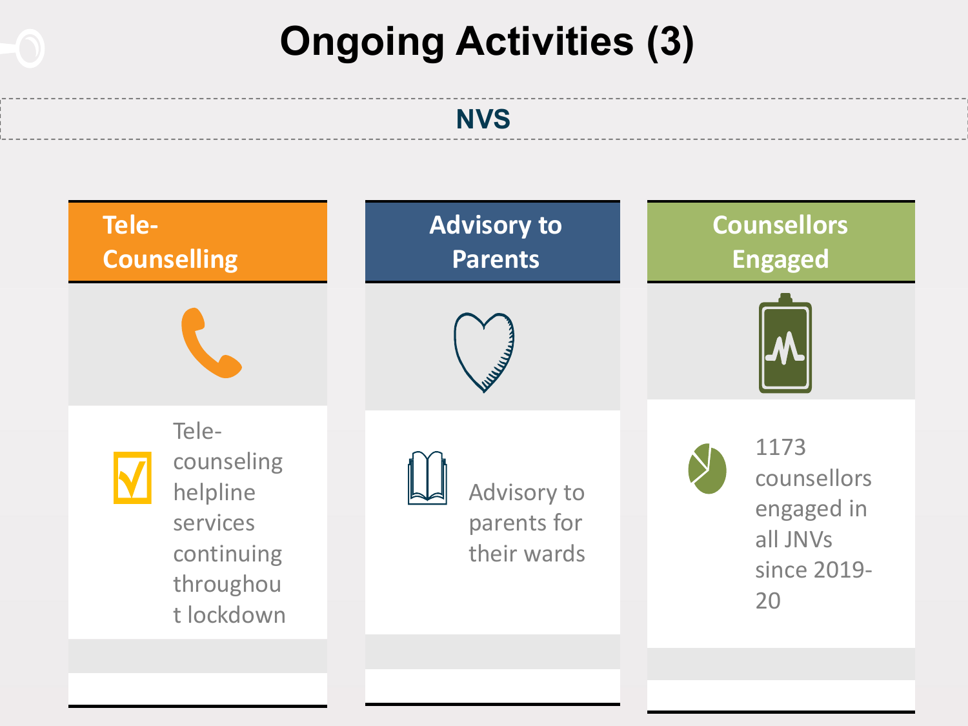## Ongoing Activities (3)

### **NVS**

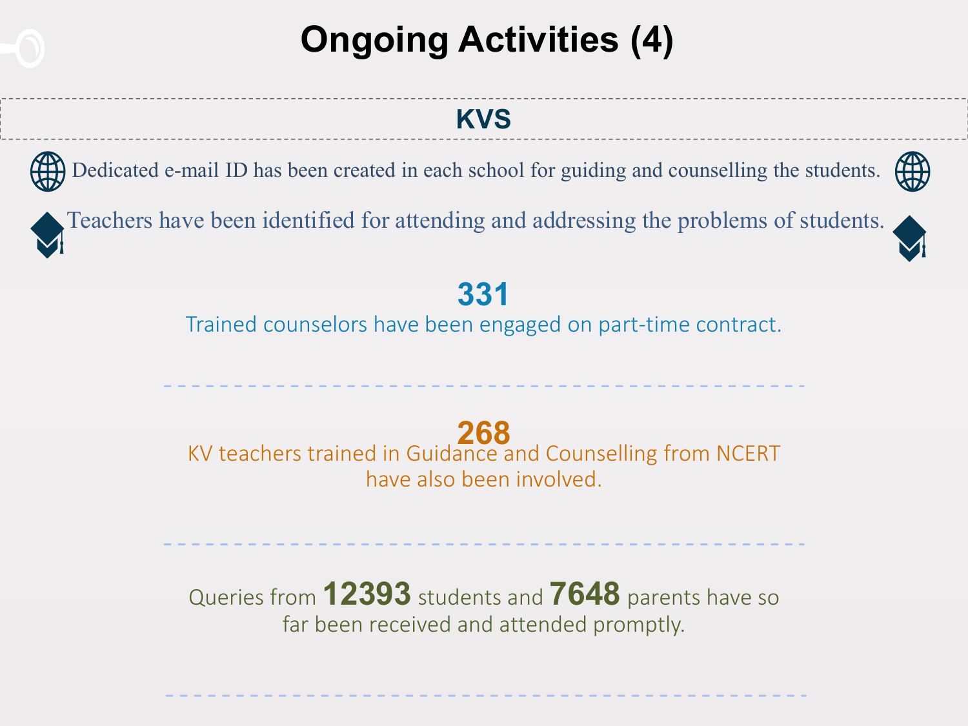## Ongoing Activities (4)

### KVS

Dedicated e-mail ID has been created in each school for guiding and counselling the students.

Teachers have been identified for attending and addressing the problems of students.

### 331

Trained counselors have been engaged on part-time contract.

<sup>268</sup> KV teachers trained in Guidance and Counselling from NCERT have also been involved.

Queries from **12393** students and **7648** parents have so far been received and attended promptly.



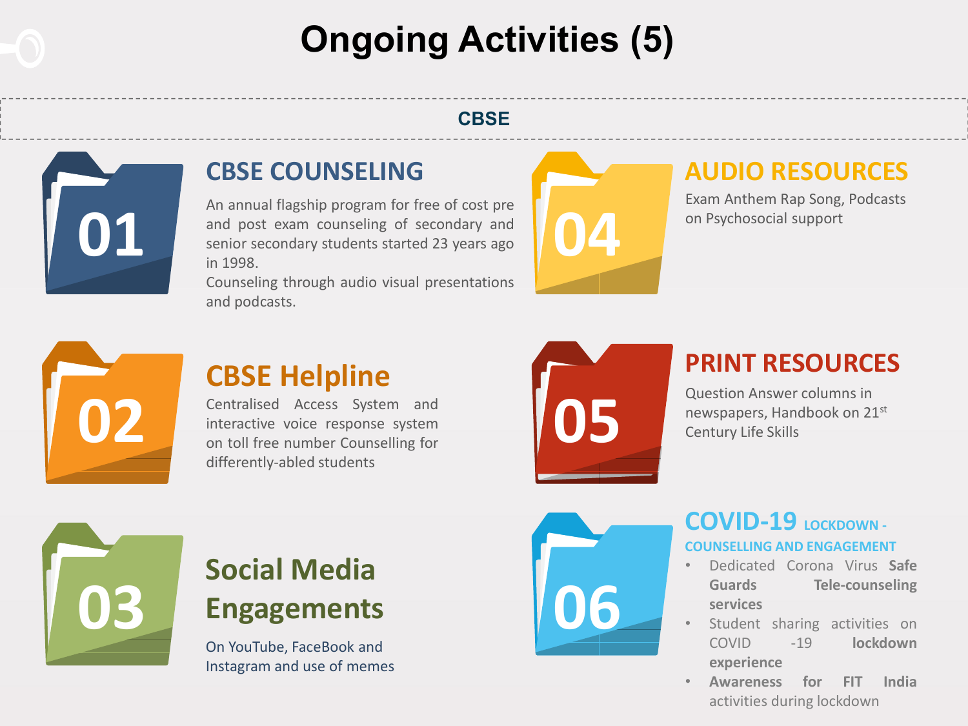## Ongoing Activities (5)

#### **CBSE**



### CBSE COUNSELING

An annual flagship program for free of cost pre and post exam counseling of secondary and senior secondary students started 23 years ago in 1998.

Counseling through audio visual presentations and podcasts.



### AUDIO RESOURCES

Exam Anthem Rap Song, Podcasts on Psychosocial support



## CBSE Helpline

Centralised Access System and interactive voice response system on toll free number Counselling for differently-abled students



### PRINT RESOURCES

Question Answer columns in newspapers, Handbook on 21st Century Life Skills



## Social Media Engagements

On YouTube, FaceBook and Instagram and use of memes



#### COVID-19 LOCKDOWN-COUNSELLING AND ENGAGEMENT

- Dedicated Corona Virus Safe Guards Tele-counseling services
- Student sharing activities on COVID -19 lockdown experience
- Awareness for FIT India activities during lockdown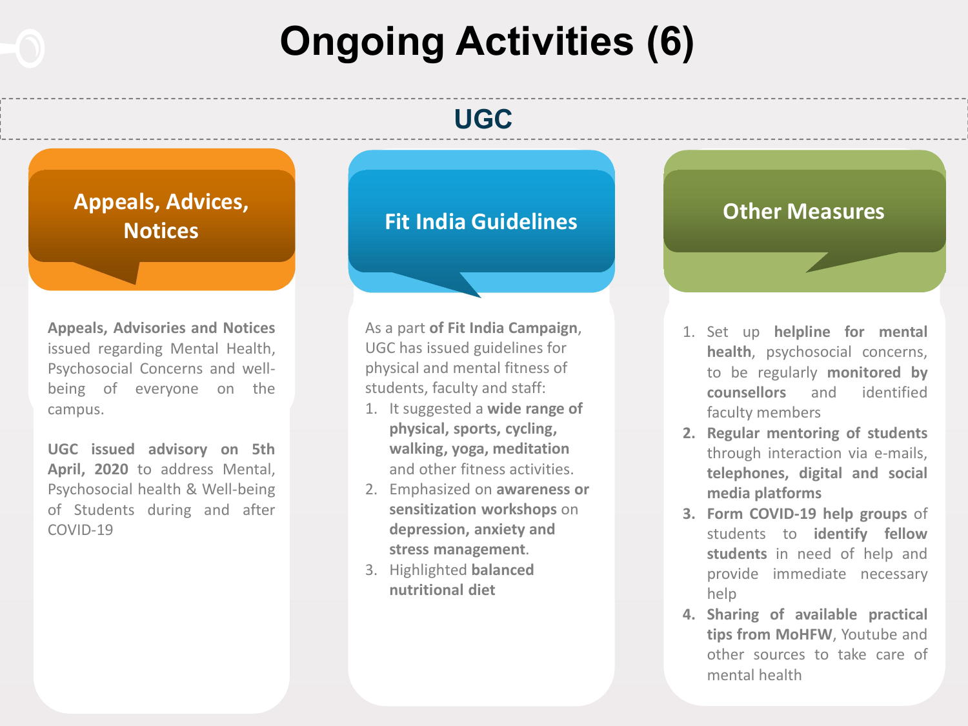## Ongoing Activities (6)

### UGC

Appeals, Advices, **Notices** 

Appeals, Advisories and Notices issued regarding Mental Health, Psychosocial Concerns and wellbeing of everyone on the campus.

UGC issued advisory on 5th April, 2020 to address Mental, Psychosocial health & Well-being of Students during and after COVID-19

### Fit India Guidelines **Fit India Guidelines**

As a part of Fit India Campaign, UGC has issued guidelines for physical and mental fitness of students, faculty and staff:

- 1. It suggested a wide range of physical, sports, cycling, walking, yoga, meditation and other fitness activities.
- 2. Emphasized on awareness or sensitization workshops on depression, anxiety and stress management.
- 3. Highlighted balanced nutritional diet

- 1. Set up helpline for mental health, psychosocial concerns, to be regularly monitored by counsellors and identified faculty members
- 2. Regular mentoring of students through interaction via e-mails, telephones, digital and social media platforms
- 3. Form COVID-19 help groups of students to identify fellow students in need of help and provide immediate necessary help
- 4. Sharing of available practical tips from MoHFW, Youtube and other sources to take care of mental health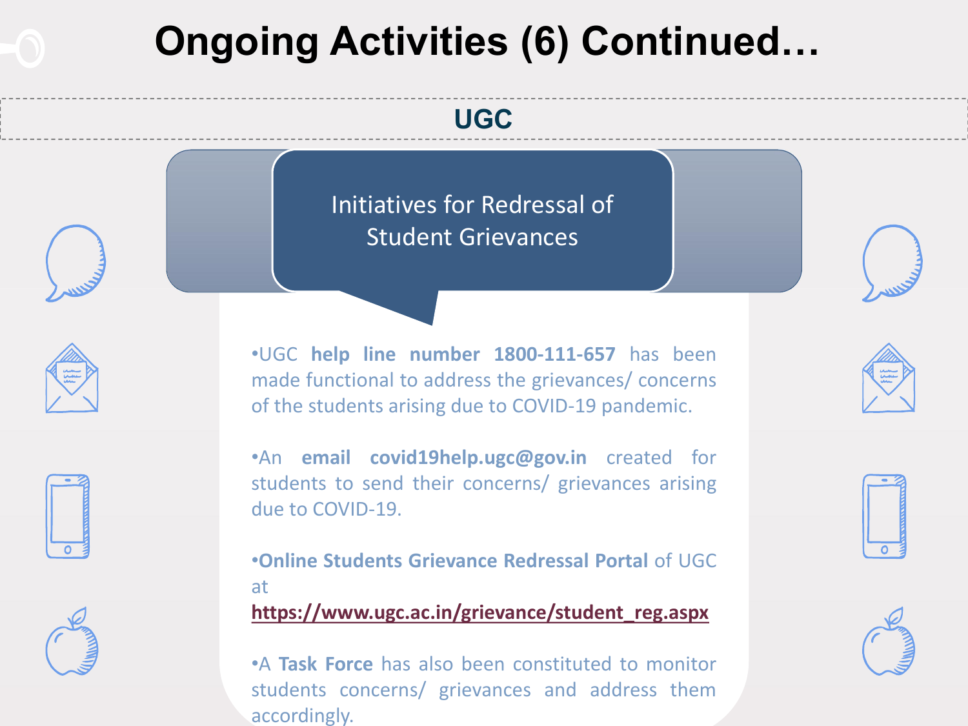## Ongoing Activities (6) Continued…

### UGC

Initiatives for Redressal of Student Grievances







•An email covid19help.ugc@gov.in created for students to send their concerns/ grievances arising due to COVID-19.

•UGC help line number 1800-111-657 has been made functional to address the grievances/ concerns

of the students arising due to COVID-19 pandemic.

•Online Students Grievance Redressal Portal of UGC at

https://www.ugc.ac.in/grievance/student\_reg.aspx

•A Task Force has also been constituted to monitor students concerns/ grievances and address them accordingly.





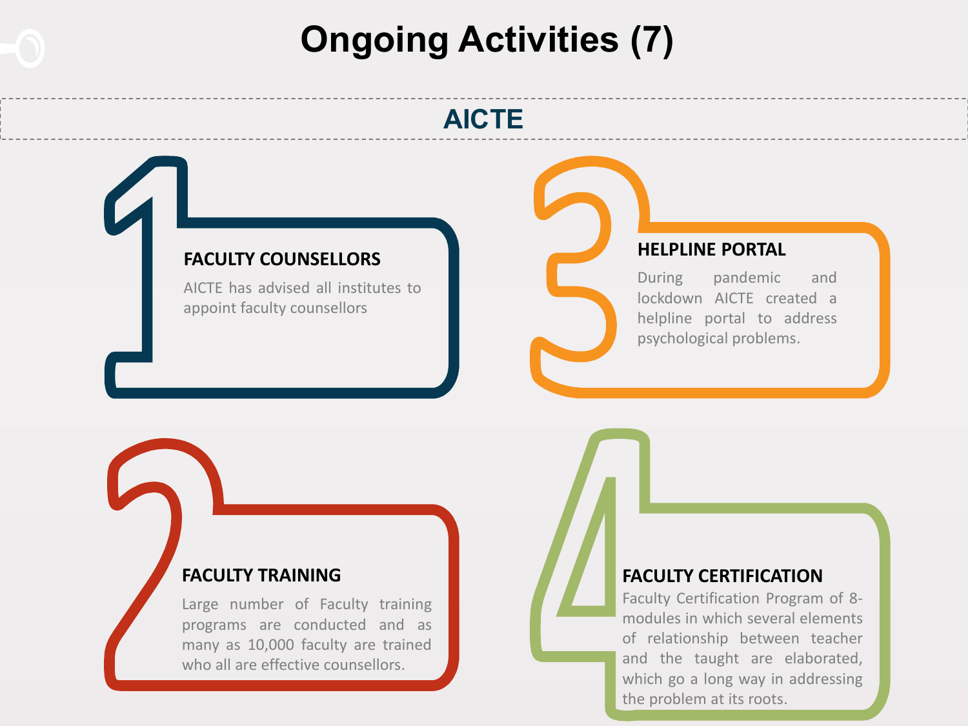## Ongoing Activities (7)

### AICTE

#### FACULTY COUNSELLORS

AICTE has advised all institutes to appoint faculty counsellors

#### HELPLINE PORTAL

During pandemic and lockdown AICTE created a helpline portal to address psychological problems.

#### FACULTY TRAINING

Large number of Faculty training programs are conducted and as many as 10,000 faculty are trained who all are effective counsellors.

#### FACULTY CERTIFICATION

Faculty Certification Program of 8 modules in which several elements of relationship between teacher and the taught are elaborated, which go a long way in addressing the problem at its roots.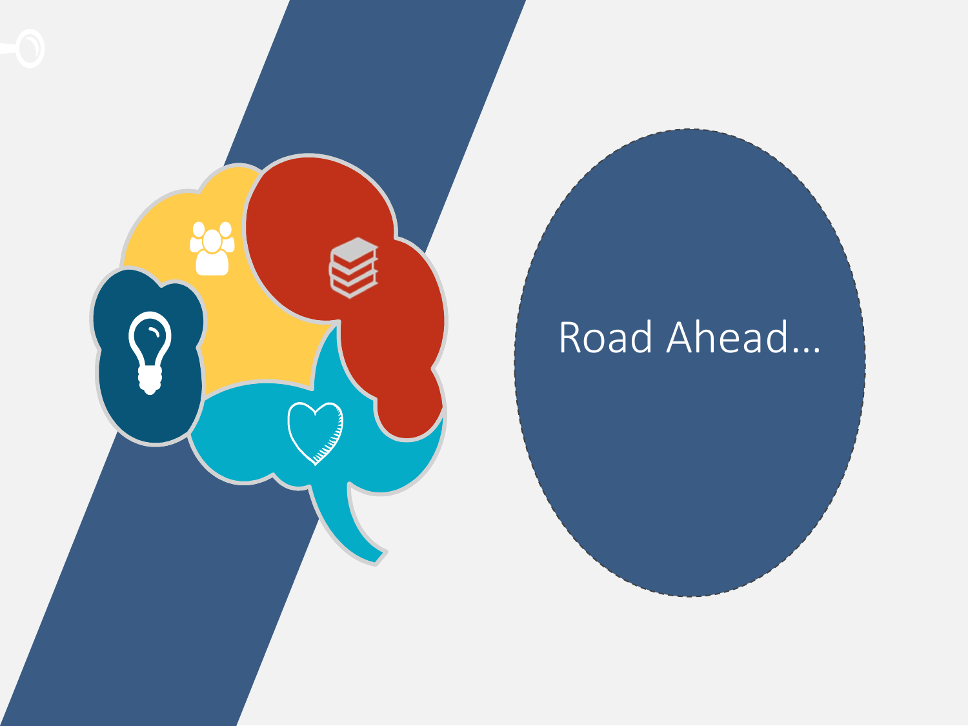

# Road Ahead…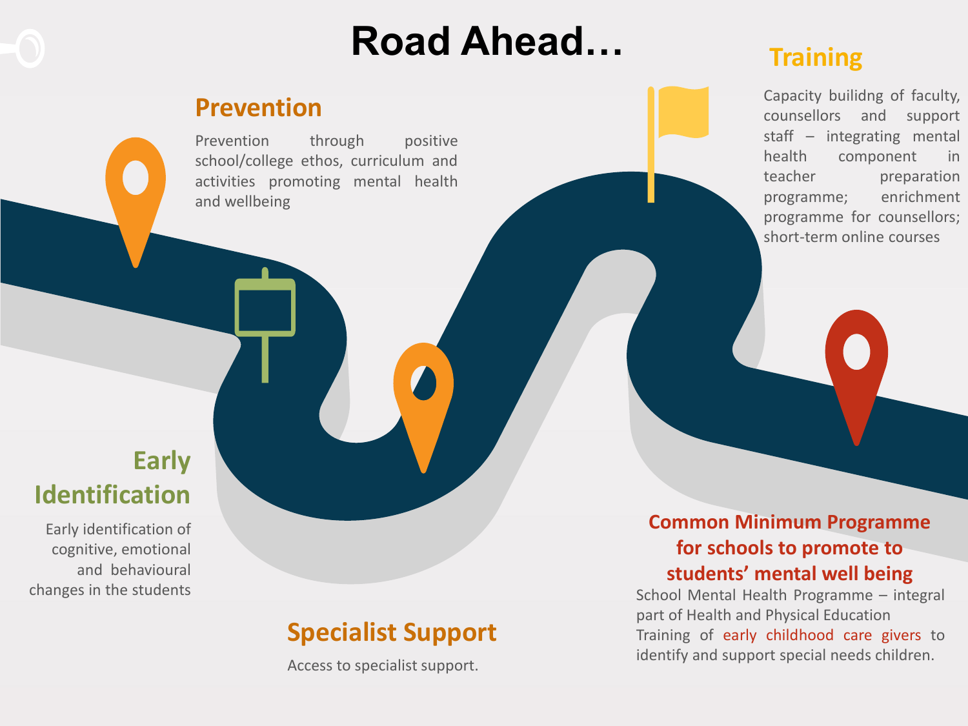## Road Ahead…

### Prevention

Prevention through positive school/college ethos, curriculum and activities promoting mental health and wellbeing

### **Training**

Capacity builidng of faculty, counsellors and support staff – integrating mental health component in teacher preparation programme; enrichment programme for counsellors; short-term online courses

### Early Identification

Early identification of cognitive, emotional and behavioural changes in the students

### Specialist Support

Access to specialist support.

#### Common Minimum Programme for schools to promote to students' mental well being

School Mental Health Programme – integral part of Health and Physical Education Training of early childhood care givers to identify and support special needs children.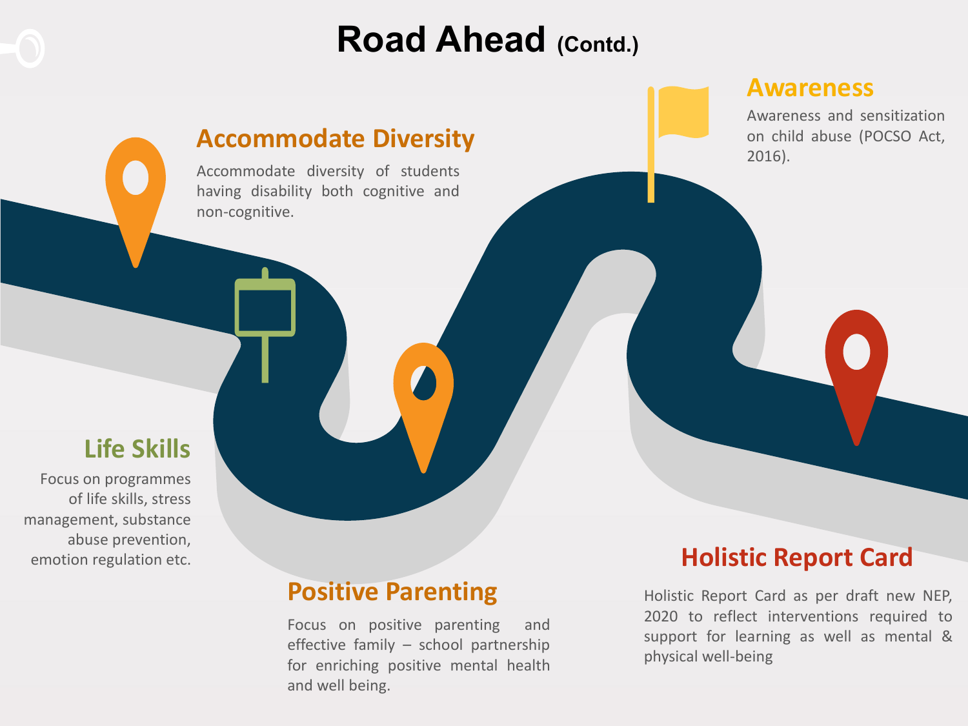

## Road Ahead (Contd.)

#### Awareness

Awareness and sensitization on child abuse (POCSO Act, 2016).

### Life Skills

Focus on programmes of life skills, stress management, substance abuse prevention,

### Positive Parenting

Accommodate Diversity

Accommodate diversity of students having disability both cognitive and

non-cognitive.

Focus on positive parenting and effective family – school partnership for enriching positive mental health and well being.

### emotion regulation etc. **Exercise 2008 Exercise 2008 Holistic Report Card**

Holistic Report Card as per draft new NEP, 2020 to reflect interventions required to support for learning as well as mental & physical well-being